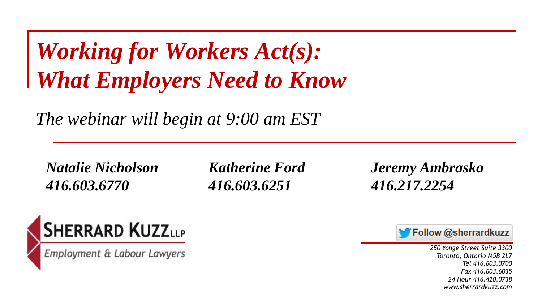#### *Working for Workers Act(s): What Employers Need to Know*

*The webinar will begin at 9:00 am EST*

*416.603.6770 416.603.6251 416.217.2254*

*Natalie Nicholson Katherine Ford Jeremy Ambraska*



Employment & Labour Lawyers

Follow @sherrardkuzz

*250 Yonge Street Suite 3300 Toronto, Ontario M5B 2L7 Tel 416.603.0700 Fax 416.603.6035 24 Hour 416.420.0738 www.sherrardkuzz.com*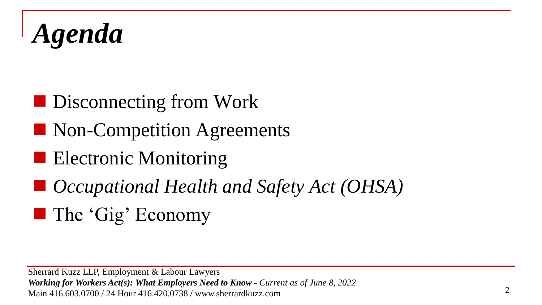*Agenda*

- Disconnecting from Work
- Non-Competition Agreements
- Electronic Monitoring
- *Occupational Health and Safety Act (OHSA)*
- The 'Gig' Economy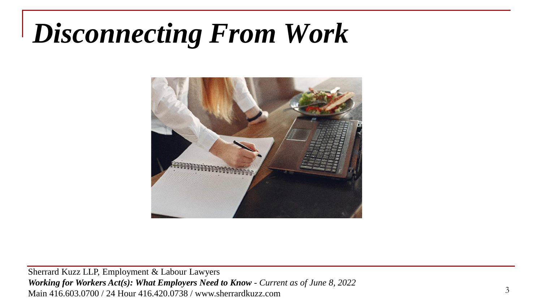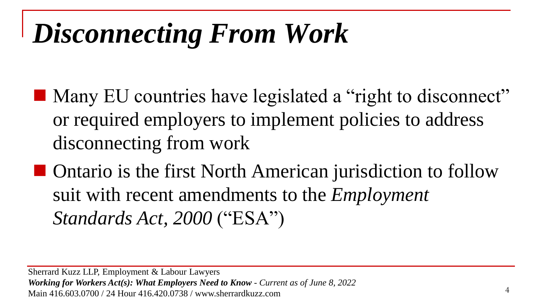- Many EU countries have legislated a "right to disconnect" or required employers to implement policies to address disconnecting from work
- Ontario is the first North American jurisdiction to follow suit with recent amendments to the *Employment Standards Act, 2000* ("ESA")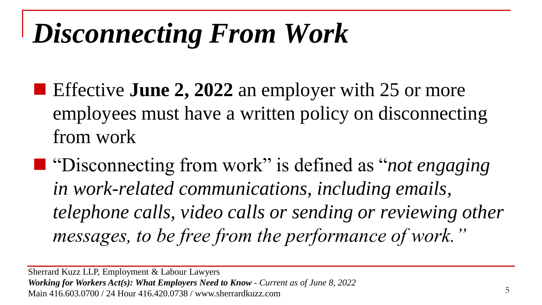- Effective **June 2, 2022** an employer with 25 or more employees must have a written policy on disconnecting from work
- "Disconnecting from work" is defined as "*not engaging in work-related communications, including emails, telephone calls, video calls or sending or reviewing other messages, to be free from the performance of work."*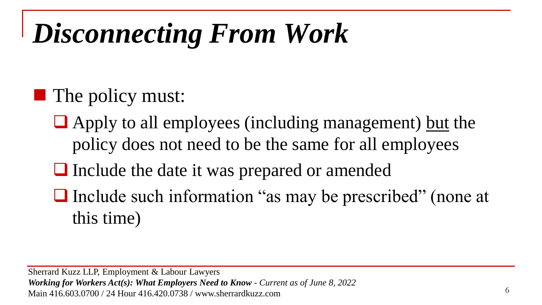#### $\blacksquare$  The policy must:

- $\Box$  Apply to all employees (including management) but the policy does not need to be the same for all employees
- ❑ Include the date it was prepared or amended
- ❑ Include such information "as may be prescribed" (none at this time)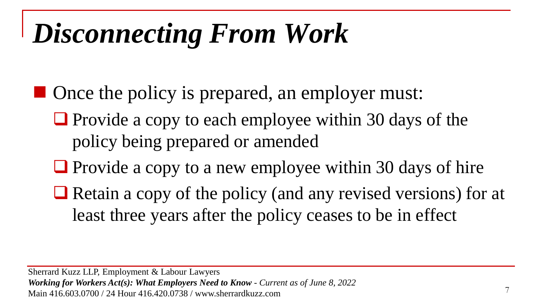- Once the policy is prepared, an employer must:
	- Provide a copy to each employee within 30 days of the policy being prepared or amended
	- Provide a copy to a new employee within 30 days of hire
	- Retain a copy of the policy (and any revised versions) for at least three years after the policy ceases to be in effect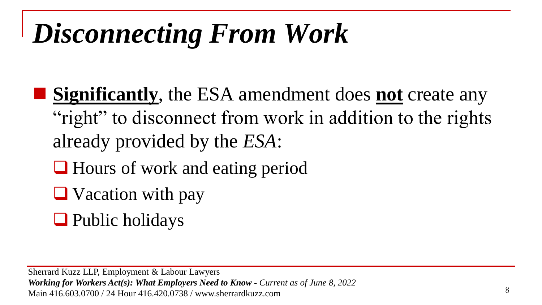- **Significantly**, the ESA amendment does **not** create any "right" to disconnect from work in addition to the rights already provided by the *ESA*:
	- ❑ Hours of work and eating period
	- ❑ Vacation with pay
	- ❑ Public holidays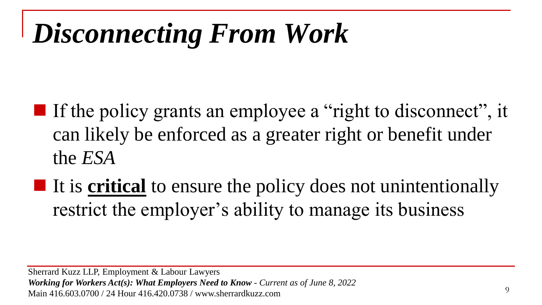- $\blacksquare$  If the policy grants an employee a "right to disconnect", it can likely be enforced as a greater right or benefit under the *ESA*
- It is **critical** to ensure the policy does not unintentionally restrict the employer's ability to manage its business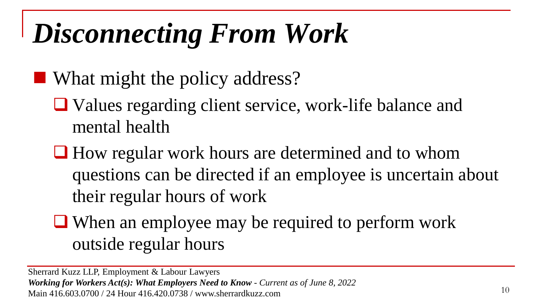■ What might the policy address?

- ❑ Values regarding client service, work-life balance and mental health
- How regular work hours are determined and to whom questions can be directed if an employee is uncertain about their regular hours of work
- ❑ When an employee may be required to perform work outside regular hours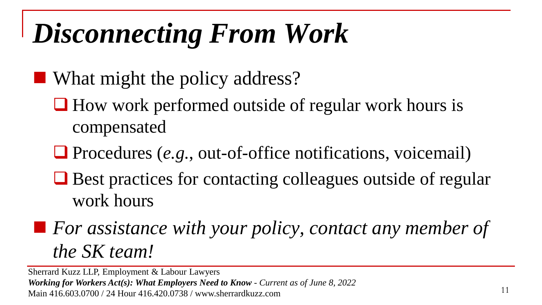- What might the policy address?
	- ❑ How work performed outside of regular work hours is compensated
	- ❑ Procedures (*e.g.*, out-of-office notifications, voicemail)
	- Best practices for contacting colleagues outside of regular work hours
- For assistance with your policy, contact any member of *the SK team!*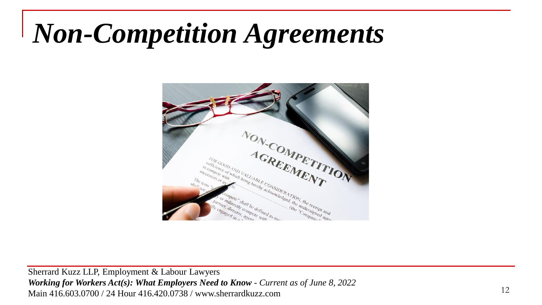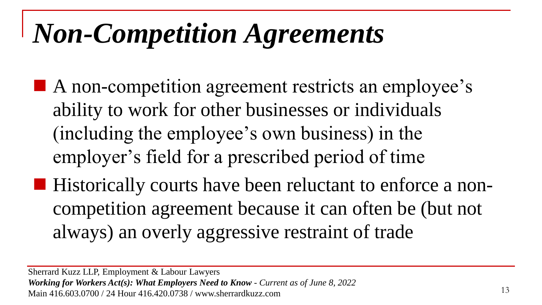■ A non-competition agreement restricts an employee's ability to work for other businesses or individuals (including the employee's own business) in the employer's field for a prescribed period of time ■ Historically courts have been reluctant to enforce a noncompetition agreement because it can often be (but not

always) an overly aggressive restraint of trade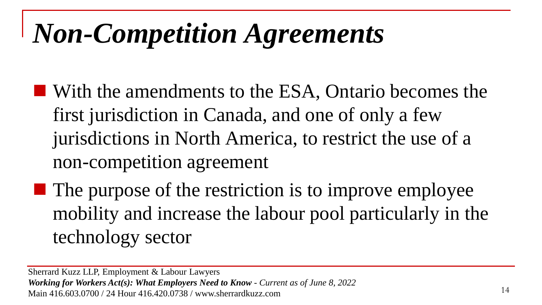- With the amendments to the ESA, Ontario becomes the first jurisdiction in Canada, and one of only a few jurisdictions in North America, to restrict the use of a non-competition agreement
- $\blacksquare$  The purpose of the restriction is to improve employee mobility and increase the labour pool particularly in the technology sector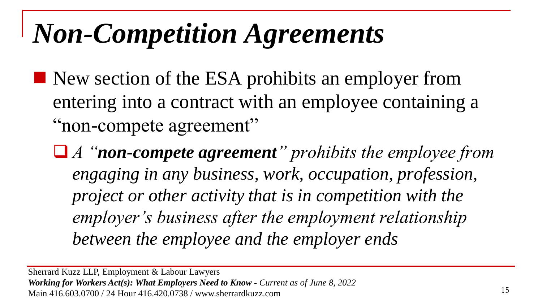- New section of the ESA prohibits an employer from entering into a contract with an employee containing a "non-compete agreement"
	- ❑ *A "non-compete agreement" prohibits the employee from engaging in any business, work, occupation, profession, project or other activity that is in competition with the employer's business after the employment relationship between the employee and the employer ends*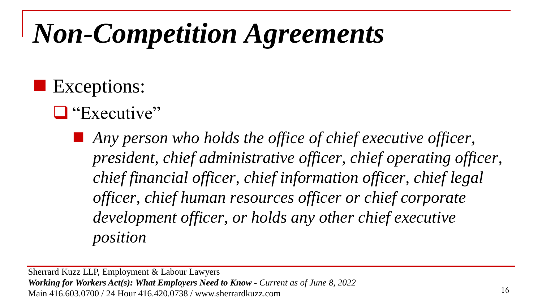#### ■ Exceptions:

#### ■ "Executive"

Any person who holds the office of chief executive officer, *president, chief administrative officer, chief operating officer, chief financial officer, chief information officer, chief legal officer, chief human resources officer or chief corporate development officer, or holds any other chief executive position*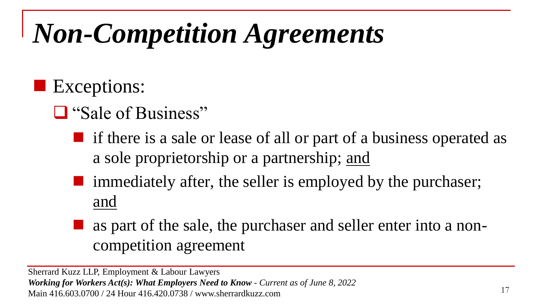#### ■ Exceptions:

- ❑ "Sale of Business"
	- $\blacksquare$  if there is a sale or lease of all or part of a business operated as a sole proprietorship or a partnership; and
	- immediately after, the seller is employed by the purchaser; and
	- as part of the sale, the purchaser and seller enter into a noncompetition agreement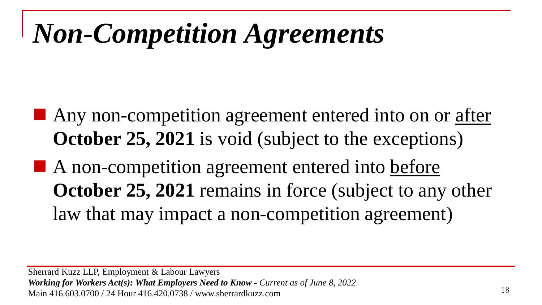■ Any non-competition agreement entered into on or after **October 25, 2021** is void (subject to the exceptions)

■ A non-competition agreement entered into before **October 25, 2021** remains in force (subject to any other law that may impact a non-competition agreement)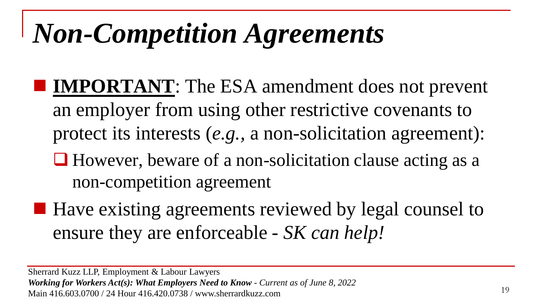- **IMPORTANT**: The ESA amendment does not prevent an employer from using other restrictive covenants to protect its interests (*e.g.,* a non-solicitation agreement):
	- ❑ However, beware of a non-solicitation clause acting as a non-competition agreement
- Have existing agreements reviewed by legal counsel to ensure they are enforceable - *SK can help!*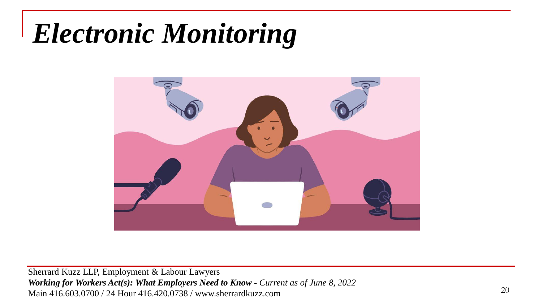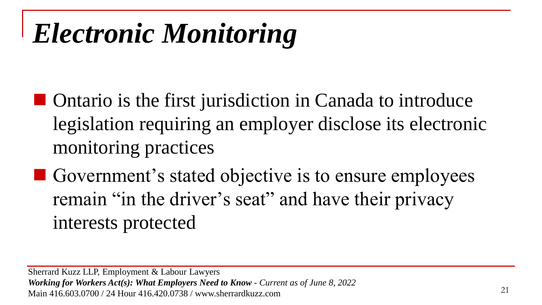- Ontario is the first jurisdiction in Canada to introduce legislation requiring an employer disclose its electronic monitoring practices
- Government's stated objective is to ensure employees remain "in the driver's seat" and have their privacy interests protected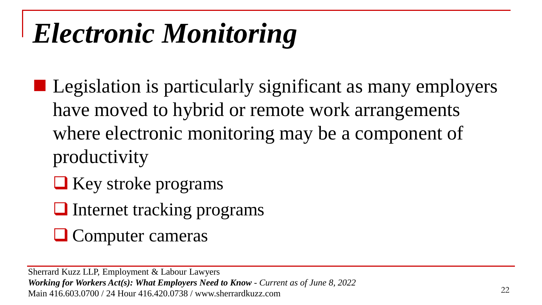- Legislation is particularly significant as many employers have moved to hybrid or remote work arrangements where electronic monitoring may be a component of productivity
	- ❑ Key stroke programs
	- ❑ Internet tracking programs
	- ❑ Computer cameras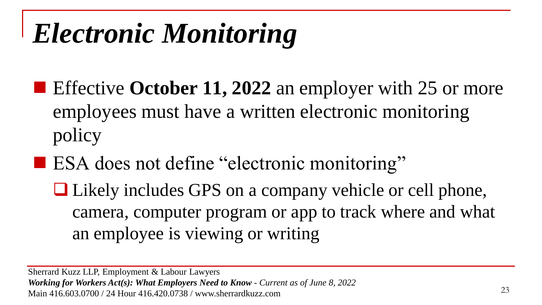- Effective **October 11, 2022** an employer with 25 or more employees must have a written electronic monitoring policy
- ESA does not define "electronic monitoring"

❑ Likely includes GPS on a company vehicle or cell phone, camera, computer program or app to track where and what an employee is viewing or writing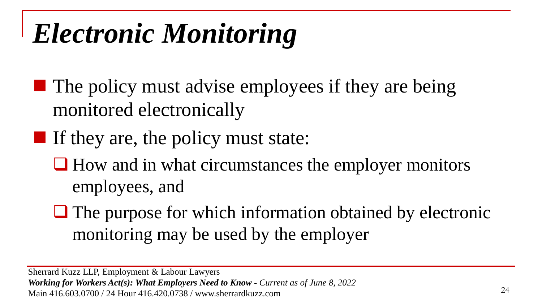- $\blacksquare$  The policy must advise employees if they are being monitored electronically
- $\blacksquare$  If they are, the policy must state:
	- How and in what circumstances the employer monitors employees, and
	- ❑ The purpose for which information obtained by electronic monitoring may be used by the employer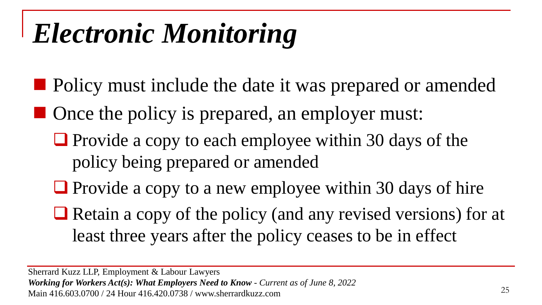- Policy must include the date it was prepared or amended
- Once the policy is prepared, an employer must:
	- Provide a copy to each employee within 30 days of the policy being prepared or amended
	- Provide a copy to a new employee within 30 days of hire
	- Retain a copy of the policy (and any revised versions) for at least three years after the policy ceases to be in effect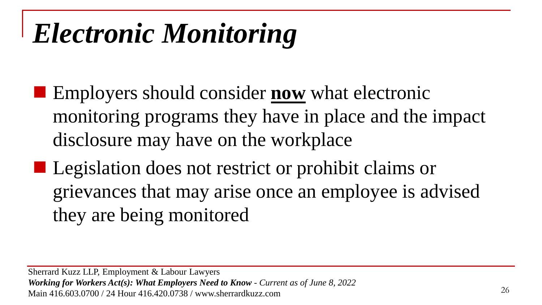- Employers should consider **now** what electronic monitoring programs they have in place and the impact disclosure may have on the workplace
- Legislation does not restrict or prohibit claims or grievances that may arise once an employee is advised they are being monitored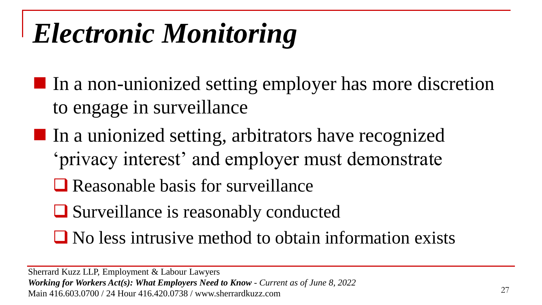- In a non-unionized setting employer has more discretion to engage in surveillance
- In a unionized setting, arbitrators have recognized 'privacy interest' and employer must demonstrate
	- ❑ Reasonable basis for surveillance
	- ❑ Surveillance is reasonably conducted
	- ❑ No less intrusive method to obtain information exists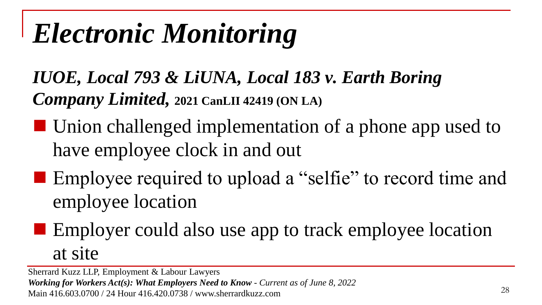*IUOE, Local 793 & LiUNA, Local 183 v. Earth Boring Company Limited,* **2021 CanLII 42419 (ON LA)**

- Union challenged implementation of a phone app used to have employee clock in and out
- Employee required to upload a "selfie" to record time and employee location
	- Employer could also use app to track employee location at site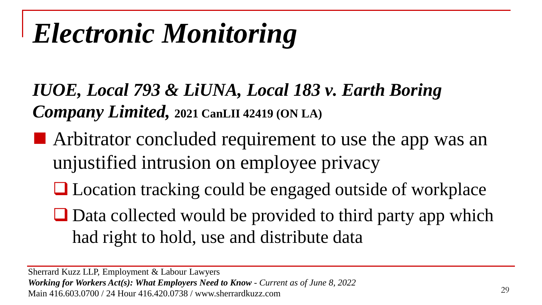*IUOE, Local 793 & LiUNA, Local 183 v. Earth Boring Company Limited,* **2021 CanLII 42419 (ON LA)**

- Arbitrator concluded requirement to use the app was an unjustified intrusion on employee privacy
	- Location tracking could be engaged outside of workplace
	- Data collected would be provided to third party app which had right to hold, use and distribute data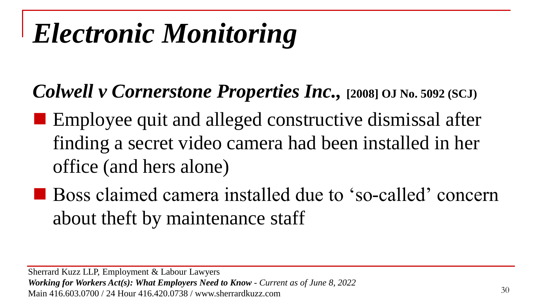*Colwell v Cornerstone Properties Inc.,* **[2008] OJ No. 5092 (SCJ)** 

- Employee quit and alleged constructive dismissal after finding a secret video camera had been installed in her office (and hers alone)
- Boss claimed camera installed due to 'so-called' concern about theft by maintenance staff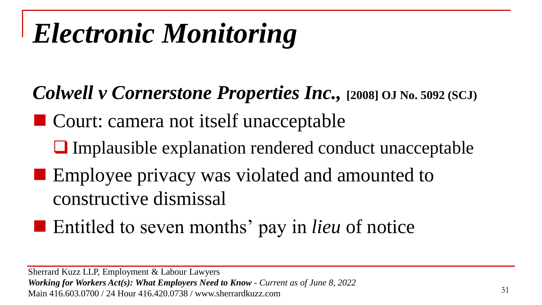- *Colwell v Cornerstone Properties Inc.,* **[2008] OJ No. 5092 (SCJ)**
- Court: camera not itself unacceptable
	- ❑ Implausible explanation rendered conduct unacceptable
- Employee privacy was violated and amounted to constructive dismissal
- Entitled to seven months' pay in *lieu* of notice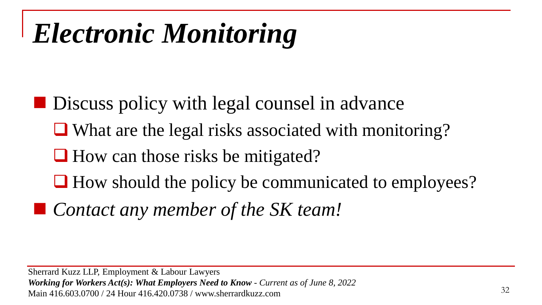- Discuss policy with legal counsel in advance
	- ❑ What are the legal risks associated with monitoring?
	- How can those risks be mitigated?
	- ❑ How should the policy be communicated to employees?
- *Contact any member of the SK team!*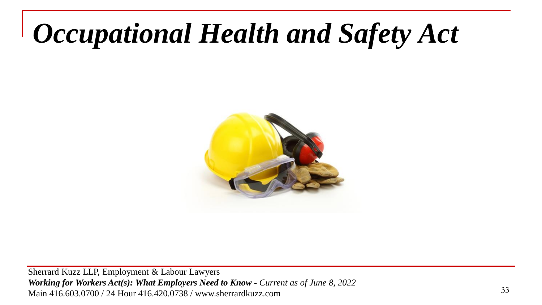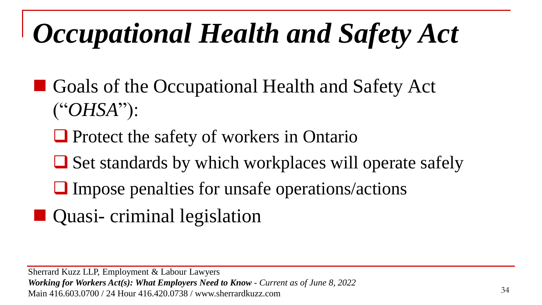- Goals of the Occupational Health and Safety Act ("*OHSA*"):
	- ❑ Protect the safety of workers in Ontario
	- Set standards by which workplaces will operate safely
	- ❑ Impose penalties for unsafe operations/actions
- Quasi- criminal legislation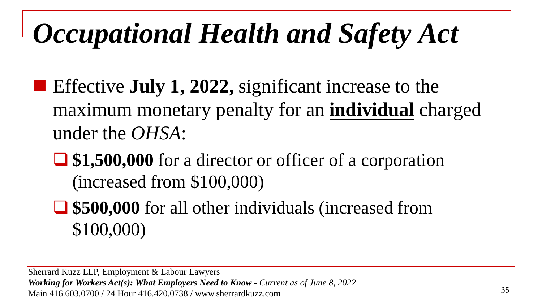- Effective **July 1, 2022**, significant increase to the maximum monetary penalty for an **individual** charged under the *OHSA*:
	- ❑ **\$1,500,000** for a director or officer of a corporation (increased from \$100,000)
	- ❑ **\$500,000** for all other individuals (increased from \$100,000)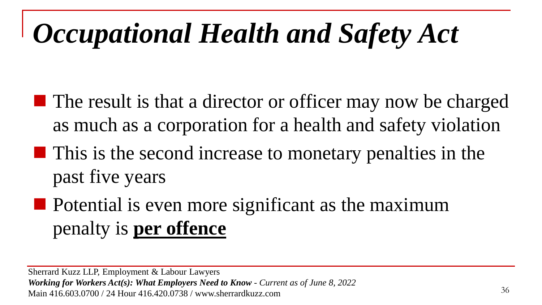- $\blacksquare$  The result is that a director or officer may now be charged as much as a corporation for a health and safety violation
- This is the second increase to monetary penalties in the past five years
- $\blacksquare$  Potential is even more significant as the maximum penalty is **per offence**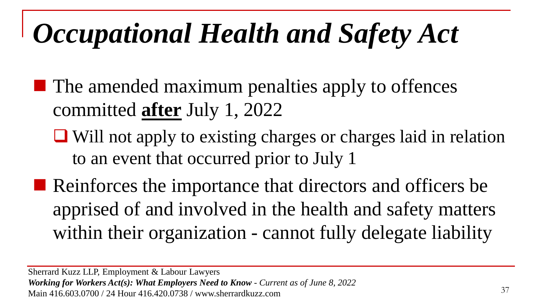- $\blacksquare$  The amended maximum penalties apply to offences committed **after** July 1, 2022
	- ❑ Will not apply to existing charges or charges laid in relation to an event that occurred prior to July 1
- Reinforces the importance that directors and officers be apprised of and involved in the health and safety matters within their organization - cannot fully delegate liability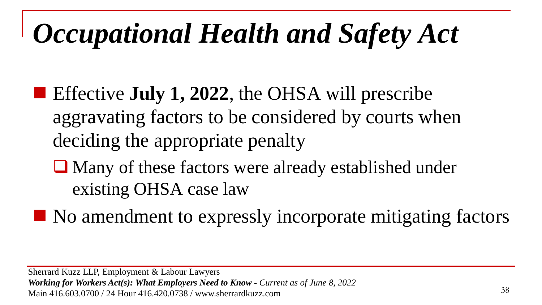- Effective **July 1, 2022**, the OHSA will prescribe aggravating factors to be considered by courts when deciding the appropriate penalty
	- ❑ Many of these factors were already established under existing OHSA case law
- No amendment to expressly incorporate mitigating factors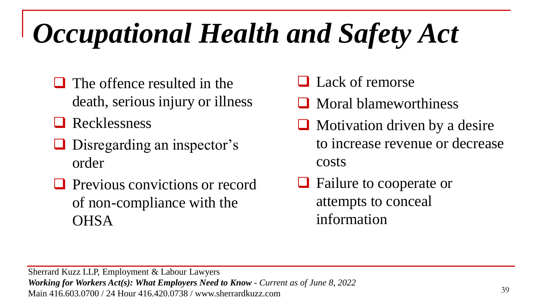- $\Box$  The offence resulted in the death, serious injury or illness
- ❑ Recklessness
- ❑ Disregarding an inspector's order
- ❑ Previous convictions or record of non-compliance with the **OHSA**
- ❑ Lack of remorse
- ❑ Moral blameworthiness
- ❑ Motivation driven by a desire to increase revenue or decrease costs
- ❑ Failure to cooperate or attempts to conceal information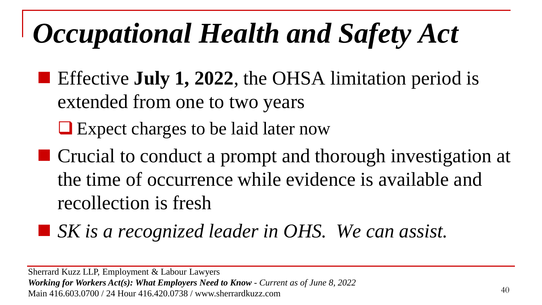■ Effective **July 1, 2022**, the OHSA limitation period is extended from one to two years

❑ Expect charges to be laid later now

- Crucial to conduct a prompt and thorough investigation at the time of occurrence while evidence is available and recollection is fresh
- *SK is a recognized leader in OHS. We can assist.*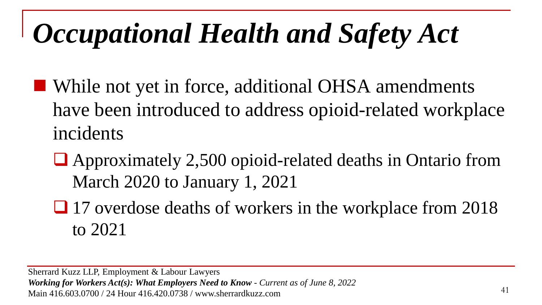- While not yet in force, additional OHSA amendments have been introduced to address opioid-related workplace incidents
	- ❑ Approximately 2,500 opioid-related deaths in Ontario from March 2020 to January 1, 2021
	- 17 overdose deaths of workers in the workplace from 2018 to 2021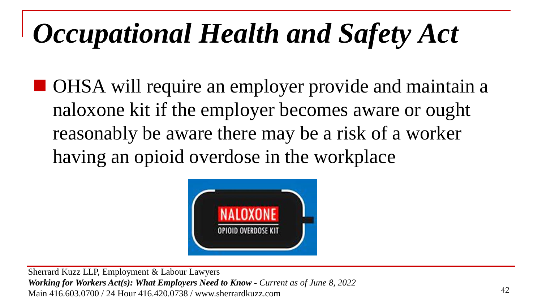■ OHSA will require an employer provide and maintain a naloxone kit if the employer becomes aware or ought reasonably be aware there may be a risk of a worker having an opioid overdose in the workplace

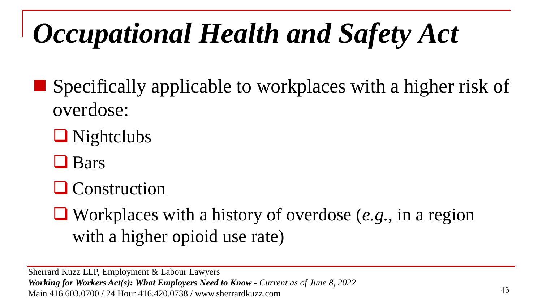$\blacksquare$  Specifically applicable to workplaces with a higher risk of overdose:

❑ Nightclubs

❑ Bars

❑ Construction

❑ Workplaces with a history of overdose (*e.g.,* in a region with a higher opioid use rate)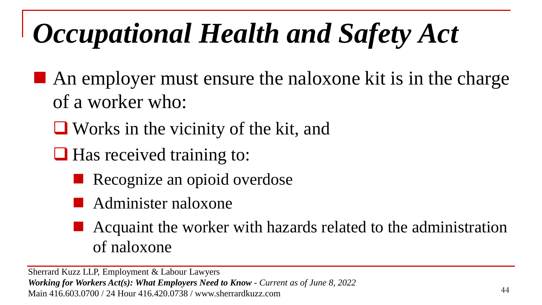- $\blacksquare$  An employer must ensure the naloxone kit is in the charge of a worker who:
	- ❑ Works in the vicinity of the kit, and
	- Has received training to:
		- Recognize an opioid overdose
		- Administer naloxone
		- Acquaint the worker with hazards related to the administration of naloxone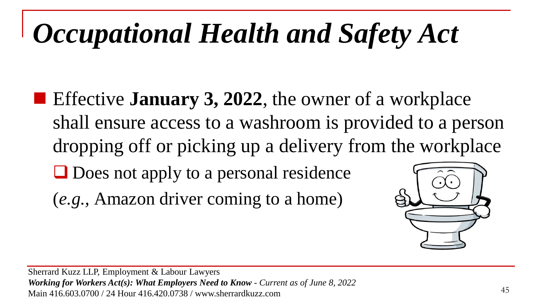- Effective **January 3, 2022**, the owner of a workplace shall ensure access to a washroom is provided to a person dropping off or picking up a delivery from the workplace ❑ Does not apply to a personal residence
	- (*e.g.,* Amazon driver coming to a home)

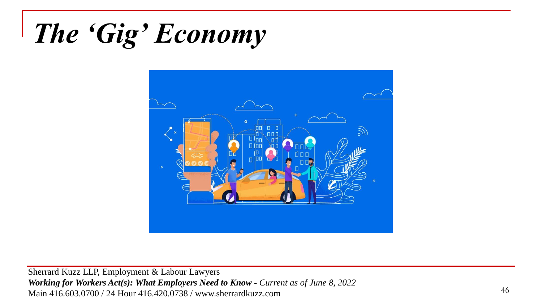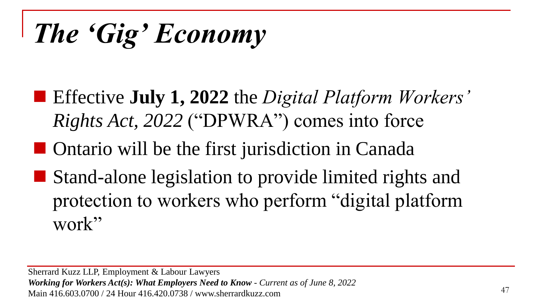- Effective **July 1, 2022** the *Digital Platform Workers' Rights Act, 2022* ("DPWRA") comes into force
- Ontario will be the first jurisdiction in Canada
- Stand-alone legislation to provide limited rights and protection to workers who perform "digital platform work"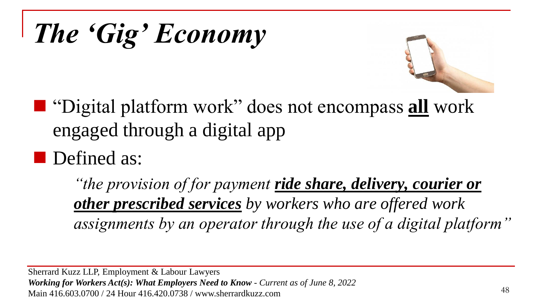



- "Digital platform work" does not encompass **all** work engaged through a digital app
- Defined as:

*"the provision of for payment ride share, delivery, courier or other prescribed services by workers who are offered work assignments by an operator through the use of a digital platform"*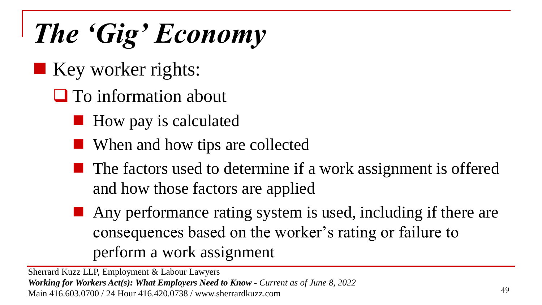- Key worker rights:
	- ❑ To information about
		- How pay is calculated
		- When and how tips are collected
		- The factors used to determine if a work assignment is offered and how those factors are applied
		- Any performance rating system is used, including if there are consequences based on the worker's rating or failure to perform a work assignment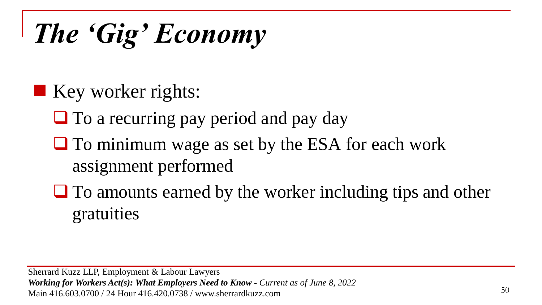- Key worker rights:
	- □ To a recurring pay period and pay day
	- To minimum wage as set by the ESA for each work assignment performed
	- To amounts earned by the worker including tips and other gratuities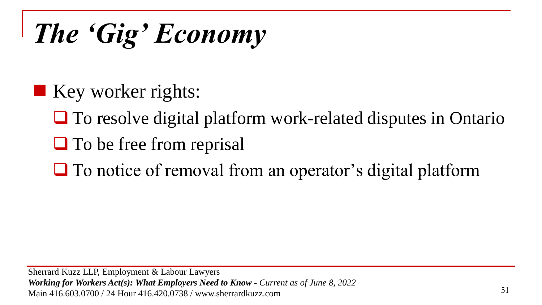- $\blacksquare$  Key worker rights:
	- ❑ To resolve digital platform work-related disputes in Ontario
	- ❑ To be free from reprisal
	- To notice of removal from an operator's digital platform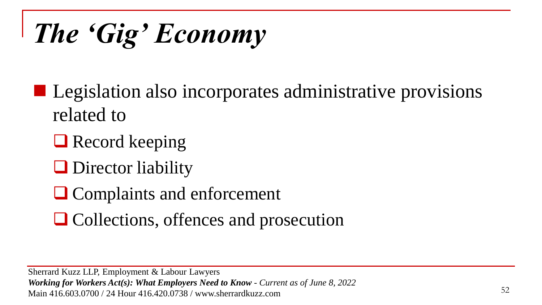■ Legislation also incorporates administrative provisions related to

■ Record keeping

❑ Director liability

❑ Complaints and enforcement

❑ Collections, offences and prosecution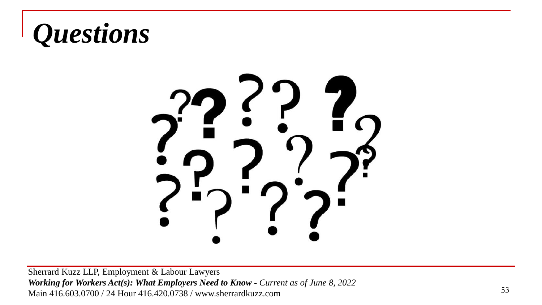

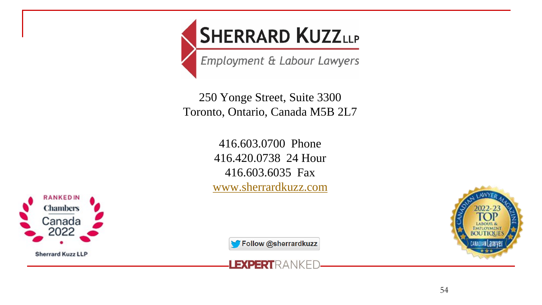

Employment & Labour Lawyers

250 Yonge Street, Suite 3300 Toronto, Ontario, Canada M5B 2L7

> 416.603.0700 Phone 416.420.0738 24 Hour 416.603.6035 Fax [www.sherrardkuzz.com](http://www.sherrardkuzz.com/)





Follow @sherrardkuzz